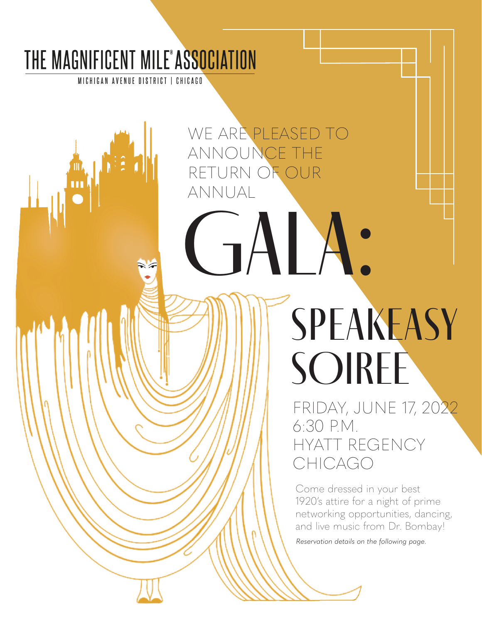## THE MAGNIFICENT MILE<sup>®</sup>ASSOCIATION

MICHIGAN AVENUE DISTRICT | CHICAGO

WE ARE PLEASED TO ANNOUNCE THE RETURN OF OUR ANNUAL

GALA:

**SPEAKEASY** SOIREE

FRIDAY, JUNE 17, 2022 6:30 P.M. HYATT REGENCY CHICAGO

Come dressed in your best 1920's attire for a night of prime networking opportunities, dancing, and live music from Dr. Bombay!

*Reservation details on the following page.*